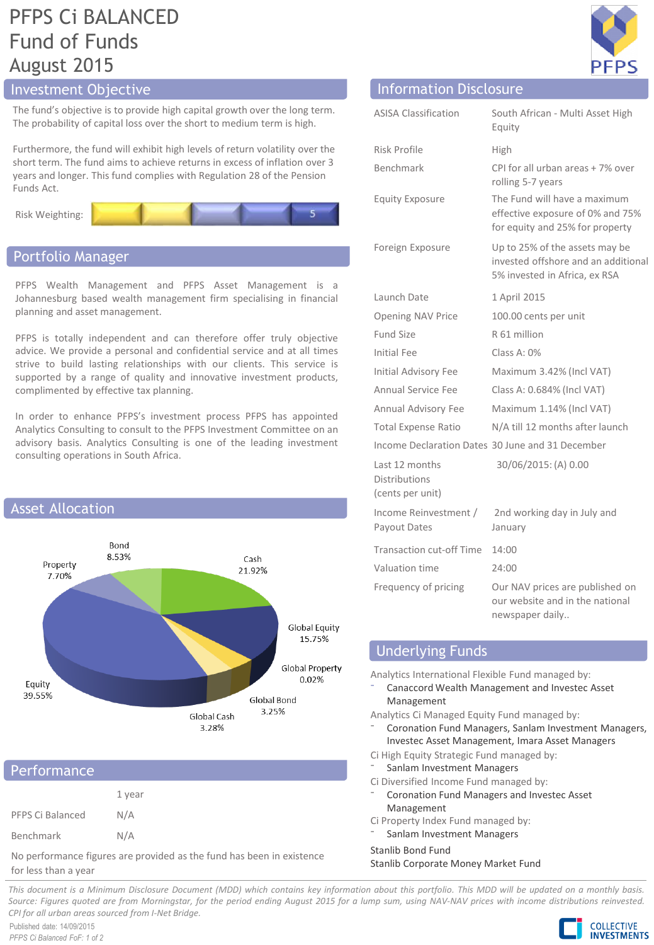# PFPS Ci BALANCED Fund of Funds August 2015

The fund's objective is to provide high capital growth over the long term. The probability of capital loss over the short to medium term is high.

Furthermore, the fund will exhibit high levels of return volatility over the short term. The fund aims to achieve returns in excess of inflation over 3 years and longer. This fund complies with Regulation 28 of the Pension Funds Act.



### Portfolio Manager

PFPS Wealth Management and PFPS Asset Management is a Johannesburg based wealth management firm specialising in financial planning and asset management.

PFPS is totally independent and can therefore offer truly objective advice. We provide a personal and confidential service and at all times strive to build lasting relationships with our clients. This service is supported by a range of quality and innovative investment products, complimented by effective tax planning.

In order to enhance PFPS's investment process PFPS has appointed Analytics Consulting to consult to the PFPS Investment Committee on an advisory basis. Analytics Consulting is one of the leading investment consulting operations in South Africa.



# Performance

|                  | 1 year |
|------------------|--------|
| PFPS Ci Balanced | N/A    |
| Benchmark        | N/A    |

No performance figures are provided as the fund has been in existence for less than a year



# Investment Objective **Information Disclosure** Information Disclosure

| <b>ASISA Classification</b>                                | South African - Multi Asset High<br>Equity                                                             |
|------------------------------------------------------------|--------------------------------------------------------------------------------------------------------|
| Risk Profile                                               | High                                                                                                   |
| <b>Benchmark</b>                                           | CPI for all urban areas + 7% over<br>rolling 5-7 years                                                 |
| <b>Equity Exposure</b>                                     | The Fund will have a maximum<br>effective exposure of 0% and 75%<br>for equity and 25% for property    |
| Foreign Exposure                                           | Up to 25% of the assets may be<br>invested offshore and an additional<br>5% invested in Africa, ex RSA |
| Launch Date                                                | 1 April 2015                                                                                           |
| Opening NAV Price                                          | 100.00 cents per unit                                                                                  |
| Fund Size                                                  | R 61 million                                                                                           |
| Initial Fee                                                | Class A: 0%                                                                                            |
| Initial Advisory Fee                                       | Maximum 3.42% (Incl VAT)                                                                               |
| Annual Service Fee                                         | Class A: 0.684% (Incl VAT)                                                                             |
| Annual Advisory Fee                                        | Maximum 1.14% (Incl VAT)                                                                               |
| <b>Total Expense Ratio</b>                                 | N/A till 12 months after launch                                                                        |
|                                                            | Income Declaration Dates 30 June and 31 December                                                       |
| Last 12 months<br><b>Distributions</b><br>(cents per unit) | 30/06/2015: (A) 0.00                                                                                   |
| Income Reinvestment /<br>Payout Dates                      | 2nd working day in July and<br>January                                                                 |
| <b>Transaction cut-off Time</b>                            | 14:00                                                                                                  |
| Valuation time                                             | 24:00                                                                                                  |
| Frequency of pricing                                       | Our NAV prices are published on<br>our website and in the national<br>newspaper daily                  |

# Underlying Funds

Analytics International Flexible Fund managed by:

⁻ Canaccord Wealth Management and Investec Asset Management

Analytics Ci Managed Equity Fund managed by:

- ⁻ Coronation Fund Managers, Sanlam Investment Managers, Investec Asset Management, Imara Asset Managers
- Ci High Equity Strategic Fund managed by:
- Sanlam Investment Managers
- Ci Diversified Income Fund managed by:
- ⁻ Coronation Fund Managers and Investec Asset Management
- Ci Property Index Fund managed by:
- Sanlam Investment Managers

Stanlib Bond Fund

Stanlib Corporate Money Market Fund

This document is a Minimum Disclosure Document (MDD) which contains key information about this portfolio. This MDD will be updated on a monthly basis. Source: Figures quoted are from Morningstar, for the period ending August 2015 for a lump sum, using NAV-NAV prices with income distributions reinvested. *CPI for all urban areas sourced from I-Net Bridge.*

Published date: 14/09/2015 *PFPS Ci Balanced FoF: 1 of 2*